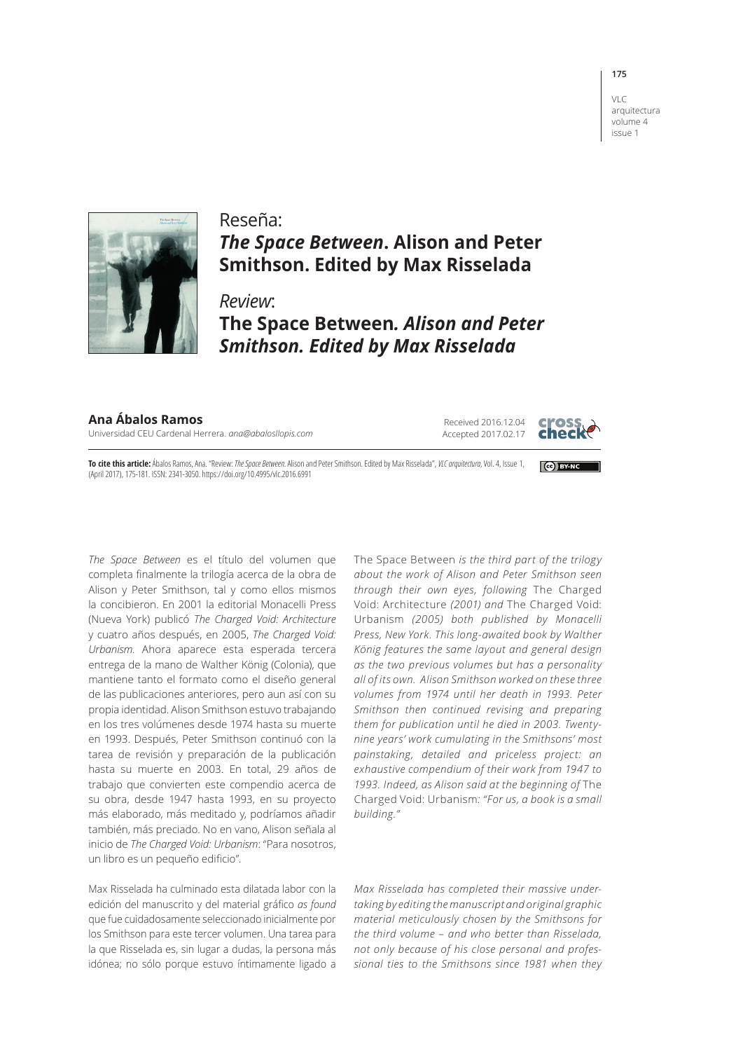## VLC

**175**

arquitectura volume 4 issue 1



## Reseña: *The Space Between***. Alison and Peter Smithson. Edited by Max Risselada**

*Review*: **The Space Between***. Alison and Peter Smithson. Edited by Max Risselada*

**Ana Ábalos Ramos** Universidad CEU Cardenal Herrera. *ana@abalosllopis.com*

Received 2016.12.04 Accepted 2017.02.17



**Cell BY-NO** 

**To cite this article:** Ábalos Ramos, Ana. "Review: *The Space Between*. Alison and Peter Smithson. Edited by Max Risselada", *VLC arquitectura*, Vol. 4, Issue 1, (April 2017), 175-181. ISSN: 2341-3050. https://doi.org/10.4995/vlc.2016.6991

*The Space Between* es el título del volumen que completa finalmente la trilogía acerca de la obra de Alison y Peter Smithson, tal y como ellos mismos la concibieron. En 2001 la editorial Monacelli Press (Nueva York) publicó *The Charged Void: Architecture* y cuatro años después, en 2005, *The Charged Void: Urbanism.* Ahora aparece esta esperada tercera entrega de la mano de Walther König (Colonia), que mantiene tanto el formato como el diseño general de las publicaciones anteriores, pero aun así con su propia identidad. Alison Smithson estuvo trabajando en los tres volúmenes desde 1974 hasta su muerte en 1993. Después, Peter Smithson continuó con la tarea de revisión y preparación de la publicación hasta su muerte en 2003. En total, 29 años de trabajo que convierten este compendio acerca de su obra, desde 1947 hasta 1993, en su proyecto más elaborado, más meditado y, podríamos añadir también, más preciado. No en vano, Alison señala al inicio de *The Charged Void: Urbanism*: "Para nosotros, un libro es un pequeño edificio".

Max Risselada ha culminado esta dilatada labor con la edición del manuscrito y del material gráfico *as found* que fue cuidadosamente seleccionado inicialmente por los Smithson para este tercer volumen. Una tarea para la que Risselada es, sin lugar a dudas, la persona más idónea; no sólo porque estuvo íntimamente ligado a

The Space Between *is the third part of the trilogy about the work of Alison and Peter Smithson seen through their own eyes, following* The Charged Void: Architecture *(2001) and* The Charged Void: Urbanism *(2005) both published by Monacelli Press, New York. This long-awaited book by Walther König features the same layout and general design as the two previous volumes but has a personality all of its own. Alison Smithson worked on these three volumes from 1974 until her death in 1993. Peter Smithson then continued revising and preparing them for publication until he died in 2003. Twentynine years' work cumulating in the Smithsons' most painstaking, detailed and priceless project: an exhaustive compendium of their work from 1947 to*  1993. Indeed, as Alison said at the beginning of The Charged Void: Urbanism*: "For us, a book is a small building."* 

*Max Risselada has completed their massive undertaking by editing the manuscript and original graphic material meticulously chosen by the Smithsons for the third volume – and who better than Risselada, not only because of his close personal and professional ties to the Smithsons since 1981 when they*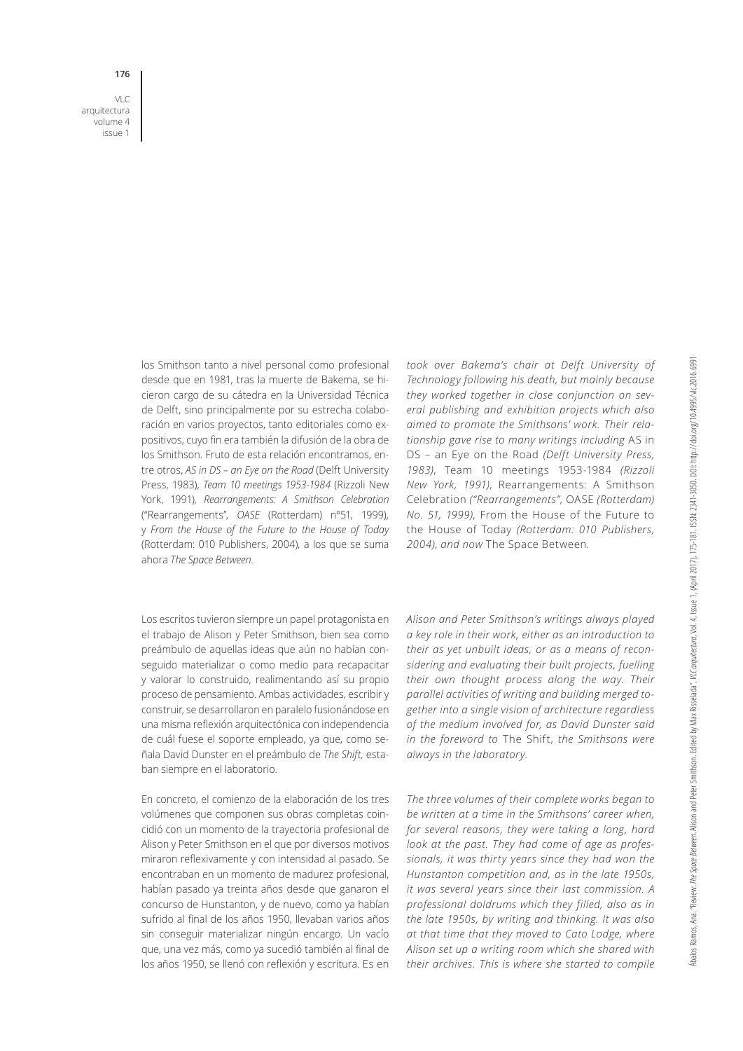VLC arquitectura volume 4 issue 1

**176**

los Smithson tanto a nivel personal como profesional desde que en 1981, tras la muerte de Bakema, se hicieron cargo de su cátedra en la Universidad Técnica de Delft, sino principalmente por su estrecha colaboración en varios proyectos, tanto editoriales como expositivos, cuyo fin era también la difusión de la obra de los Smithson. Fruto de esta relación encontramos, entre otros, *AS in DS – an Eye on the Road* (Delft University Press, 1983)*, Team 10 meetings 1953-1984* (Rizzoli New York, 1991)*, Rearrangements: A Smithson Celebration*  ("Rearrangements", *OASE* (Rotterdam) nº51, 1999)*,* y *From the House of the Future to the House of Today*  (Rotterdam: 010 Publishers, 2004)*,* a los que se suma ahora *The Space Between*.

Los escritos tuvieron siempre un papel protagonista en el trabajo de Alison y Peter Smithson, bien sea como preámbulo de aquellas ideas que aún no habían conseguido materializar o como medio para recapacitar y valorar lo construido, realimentando así su propio proceso de pensamiento. Ambas actividades, escribir y construir, se desarrollaron en paralelo fusionándose en una misma reflexión arquitectónica con independencia de cuál fuese el soporte empleado, ya que, como señala David Dunster en el preámbulo de *The Shift,* estaban siempre en el laboratorio.

En concreto, el comienzo de la elaboración de los tres volúmenes que componen sus obras completas coincidió con un momento de la trayectoria profesional de Alison y Peter Smithson en el que por diversos motivos miraron reflexivamente y con intensidad al pasado. Se encontraban en un momento de madurez profesional, habían pasado ya treinta años desde que ganaron el concurso de Hunstanton, y de nuevo, como ya habían sufrido al final de los años 1950, llevaban varios años sin conseguir materializar ningún encargo. Un vacío que, una vez más, como ya sucedió también al final de los años 1950, se llenó con reflexión y escritura. Es en *took over Bakema's chair at Delft University of Technology following his death, but mainly because they worked together in close conjunction on several publishing and exhibition projects which also aimed to promote the Smithsons' work. Their relationship gave rise to many writings including* AS in DS – an Eye on the Road *(Delft University Press, 1983)*, Team 10 meetings 1953-1984 *(Rizzoli New York, 1991)*, Rearrangements: A Smithson Celebration *("Rearrangements",* OASE *(Rotterdam) No. 51, 1999)*, From the House of the Future to the House of Today *(Rotterdam: 010 Publishers, 2004)*, *and now* The Space Between*.*

*Alison and Peter Smithson's writings always played a key role in their work, either as an introduction to their as yet unbuilt ideas, or as a means of reconsidering and evaluating their built projects, fuelling their own thought process along the way. Their parallel activities of writing and building merged together into a single vision of architecture regardless of the medium involved for, as David Dunster said in the foreword to* The Shift, *the Smithsons were always in the laboratory.* 

*The three volumes of their complete works began to be written at a time in the Smithsons' career when, for several reasons, they were taking a long, hard look at the past. They had come of age as professionals, it was thirty years since they had won the Hunstanton competition and, as in the late 1950s, it was several years since their last commission. A professional doldrums which they filled, also as in the late 1950s, by writing and thinking. It was also at that time that they moved to Cato Lodge, where Alison set up a writing room which she shared with their archives. This is where she started to compile*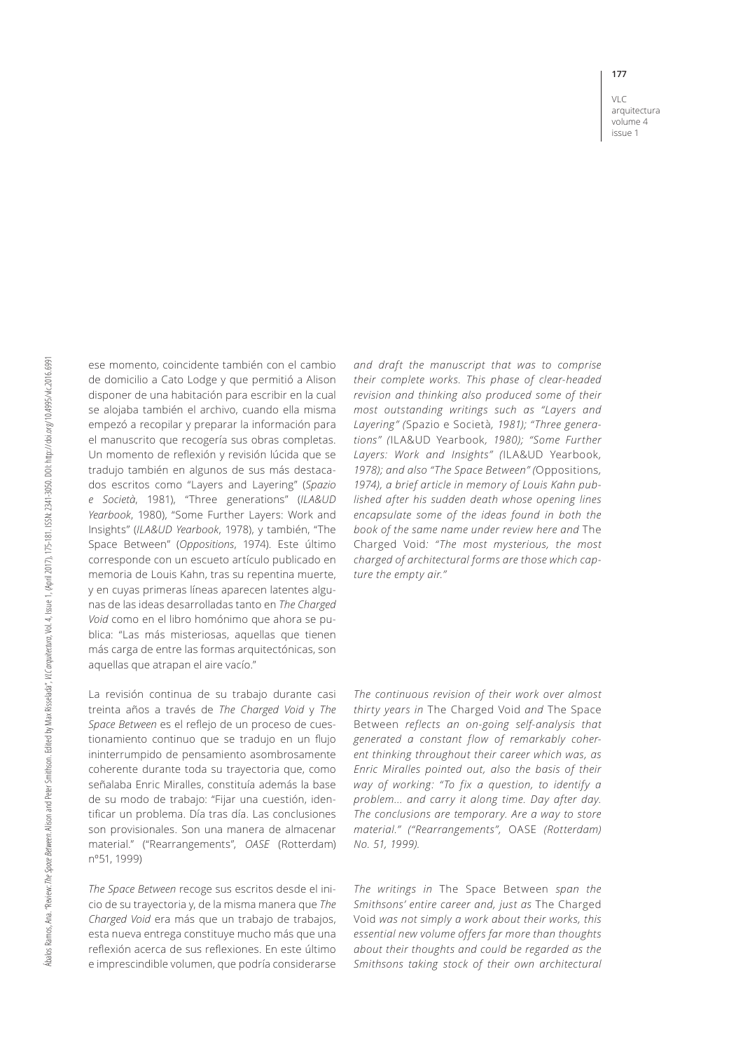**177**

VLC arquitectura volume 4 issue 1

ese momento, coincidente también con el cambio de domicilio a Cato Lodge y que permitió a Alison disponer de una habitación para escribir en la cual se alojaba también el archivo, cuando ella misma empezó a recopilar y preparar la información para el manuscrito que recogería sus obras completas. Un momento de reflexión y revisión lúcida que se tradujo también en algunos de sus más destacados escritos como "Layers and Layering" (*Spazio e Società*, 1981), "Three generations" (*ILA&UD Yearbook*, 1980), "Some Further Layers: Work and Insights" (*ILA&UD Yearbook*, 1978), y también, "The Space Between" (*Oppositions*, 1974). Este último corresponde con un escueto artículo publicado en memoria de Louis Kahn, tras su repentina muerte, y en cuyas primeras líneas aparecen latentes algunas de las ideas desarrolladas tanto en *The Charged Void* como en el libro homónimo que ahora se publica: "Las más misteriosas, aquellas que tienen más carga de entre las formas arquitectónicas, son aquellas que atrapan el aire vacío."

La revisión continua de su trabajo durante casi treinta años a través de *The Charged Void* y *The Space Between* es el reflejo de un proceso de cuestionamiento continuo que se tradujo en un flujo ininterrumpido de pensamiento asombrosamente coherente durante toda su trayectoria que, como señalaba Enric Miralles, constituía además la base de su modo de trabajo: "Fijar una cuestión, identificar un problema. Día tras día. Las conclusiones son provisionales. Son una manera de almacenar material." ("Rearrangements", *OASE* (Rotterdam) nº51, 1999)

*The Space Between* recoge sus escritos desde el inicio de su trayectoria y, de la misma manera que *The Charged Void* era más que un trabajo de trabajos, esta nueva entrega constituye mucho más que una reflexión acerca de sus reflexiones. En este último e imprescindible volumen, que podría considerarse *and draft the manuscript that was to comprise their complete works. This phase of clear-headed revision and thinking also produced some of their most outstanding writings such as "Layers and Layering" (*Spazio e Società*, 1981); "Three generations" (*ILA&UD Yearbook*, 1980); "Some Further Layers: Work and Insights" (*ILA&UD Yearbook*, 1978); and also "The Space Between" (*Oppositions*, 1974), a brief article in memory of Louis Kahn published after his sudden death whose opening lines encapsulate some of the ideas found in both the book of the same name under review here and* The Charged Void*: "The most mysterious, the most charged of architectural forms are those which capture the empty air."* 

*The continuous revision of their work over almost thirty years in* The Charged Void *and* The Space Between *reflects an on-going self-analysis that generated a constant flow of remarkably coherent thinking throughout their career which was, as Enric Miralles pointed out, also the basis of their way of working: "To fix a question, to identify a problem... and carry it along time. Day after day. The conclusions are temporary. Are a way to store material." ("Rearrangements",* OASE *(Rotterdam) No. 51, 1999).*

*The writings in* The Space Between *span the Smithsons' entire career and, just as* The Charged Void *was not simply a work about their works, this essential new volume offers far more than thoughts about their thoughts and could be regarded as the Smithsons taking stock of their own architectural*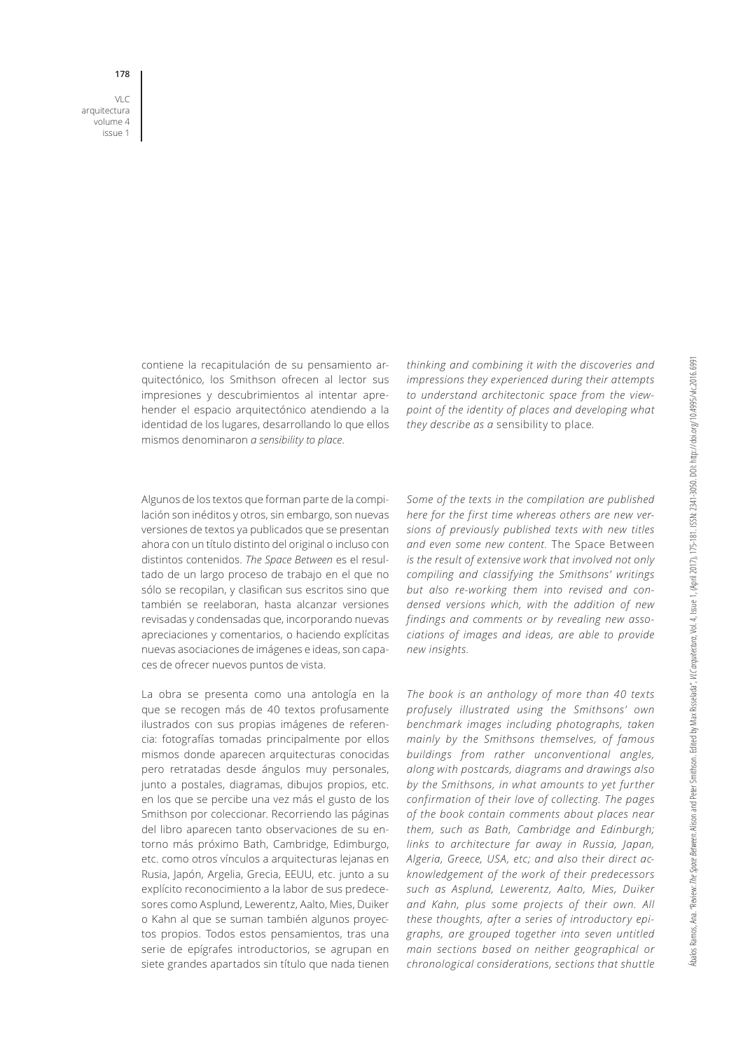VLC arquitectura volume 4 issue 1

**178**

contiene la recapitulación de su pensamiento arquitectónico, los Smithson ofrecen al lector sus impresiones y descubrimientos al intentar aprehender el espacio arquitectónico atendiendo a la identidad de los lugares, desarrollando lo que ellos mismos denominaron *a sensibility to place*.

Algunos de los textos que forman parte de la compilación son inéditos y otros, sin embargo, son nuevas versiones de textos ya publicados que se presentan ahora con un título distinto del original o incluso con distintos contenidos. *The Space Between* es el resultado de un largo proceso de trabajo en el que no sólo se recopilan, y clasifican sus escritos sino que también se reelaboran, hasta alcanzar versiones revisadas y condensadas que, incorporando nuevas apreciaciones y comentarios, o haciendo explícitas nuevas asociaciones de imágenes e ideas, son capaces de ofrecer nuevos puntos de vista.

La obra se presenta como una antología en la que se recogen más de 40 textos profusamente ilustrados con sus propias imágenes de referencia: fotografías tomadas principalmente por ellos mismos donde aparecen arquitecturas conocidas pero retratadas desde ángulos muy personales, junto a postales, diagramas, dibujos propios, etc. en los que se percibe una vez más el gusto de los Smithson por coleccionar. Recorriendo las páginas del libro aparecen tanto observaciones de su entorno más próximo Bath, Cambridge, Edimburgo, etc. como otros vínculos a arquitecturas lejanas en Rusia, Japón, Argelia, Grecia, EEUU, etc. junto a su explícito reconocimiento a la labor de sus predecesores como Asplund, Lewerentz, Aalto, Mies, Duiker o Kahn al que se suman también algunos proyectos propios. Todos estos pensamientos, tras una serie de epígrafes introductorios, se agrupan en siete grandes apartados sin título que nada tienen *thinking and combining it with the discoveries and impressions they experienced during their attempts to understand architectonic space from the viewpoint of the identity of places and developing what they describe as a* sensibility to place*.* 

*Some of the texts in the compilation are published here for the first time whereas others are new versions of previously published texts with new titles and even some new content.* The Space Between *is the result of extensive work that involved not only compiling and classifying the Smithsons' writings but also re-working them into revised and condensed versions which, with the addition of new findings and comments or by revealing new associations of images and ideas, are able to provide new insights.* 

*The book is an anthology of more than 40 texts profusely illustrated using the Smithsons' own benchmark images including photographs, taken mainly by the Smithsons themselves, of famous buildings from rather unconventional angles, along with postcards, diagrams and drawings also by the Smithsons, in what amounts to yet further confirmation of their love of collecting. The pages of the book contain comments about places near them, such as Bath, Cambridge and Edinburgh; links to architecture far away in Russia, Japan, Algeria, Greece, USA, etc; and also their direct acknowledgement of the work of their predecessors such as Asplund, Lewerentz, Aalto, Mies, Duiker and Kahn, plus some projects of their own. All these thoughts, after a series of introductory epigraphs, are grouped together into seven untitled main sections based on neither geographical or chronological considerations, sections that shuttle*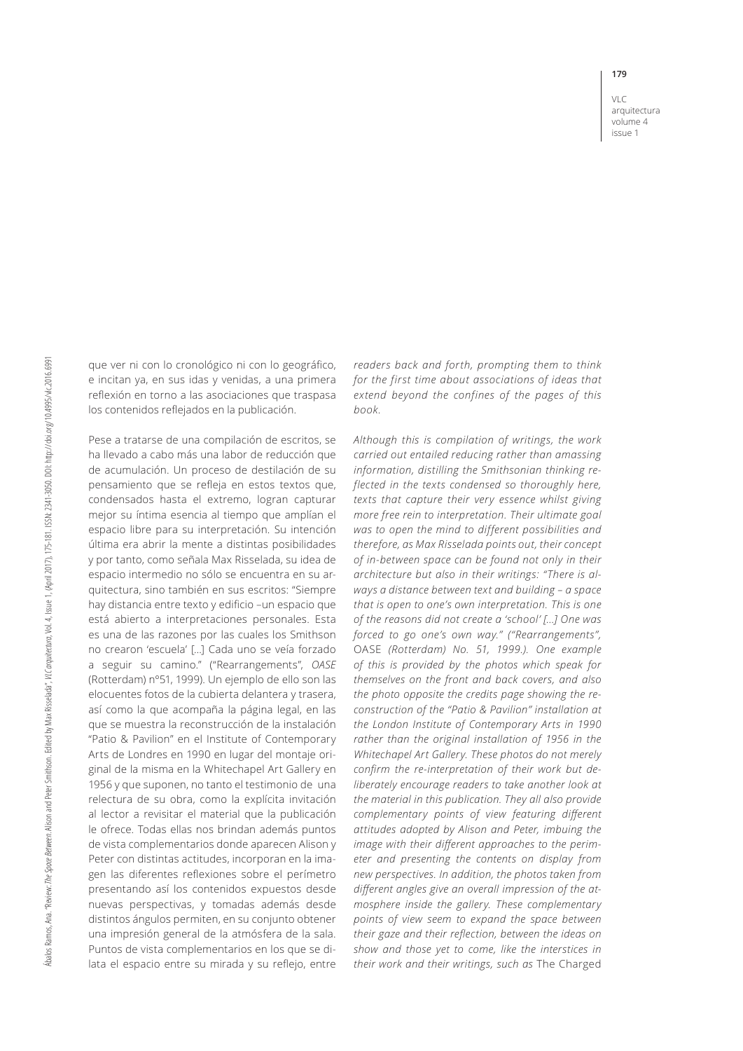**179** VLC

arquitectura volume 4 issue 1

que ver ni con lo cronológico ni con lo geográfico, e incitan ya, en sus idas y venidas, a una primera reflexión en torno a las asociaciones que traspasa los contenidos reflejados en la publicación.

Pese a tratarse de una compilación de escritos, se ha llevado a cabo más una labor de reducción que de acumulación. Un proceso de destilación de su pensamiento que se refleja en estos textos que, condensados hasta el extremo, logran capturar mejor su íntima esencia al tiempo que amplían el espacio libre para su interpretación. Su intención última era abrir la mente a distintas posibilidades y por tanto, como señala Max Risselada, su idea de espacio intermedio no sólo se encuentra en su arquitectura, sino también en sus escritos: "Siempre hay distancia entre texto y edificio –un espacio que está abierto a interpretaciones personales. Esta es una de las razones por las cuales los Smithson no crearon 'escuela' […] Cada uno se veía forzado a seguir su camino." ("Rearrangements", *OASE* (Rotterdam) nº51, 1999). Un ejemplo de ello son las elocuentes fotos de la cubierta delantera y trasera, así como la que acompaña la página legal, en las que se muestra la reconstrucción de la instalación "Patio & Pavilion" en el Institute of Contemporary Arts de Londres en 1990 en lugar del montaje original de la misma en la Whitechapel Art Gallery en 1956 y que suponen, no tanto el testimonio de una relectura de su obra, como la explícita invitación al lector a revisitar el material que la publicación le ofrece. Todas ellas nos brindan además puntos de vista complementarios donde aparecen Alison y Peter con distintas actitudes, incorporan en la imagen las diferentes reflexiones sobre el perímetro presentando así los contenidos expuestos desde nuevas perspectivas, y tomadas además desde distintos ángulos permiten, en su conjunto obtener una impresión general de la atmósfera de la sala. Puntos de vista complementarios en los que se dilata el espacio entre su mirada y su reflejo, entre

*readers back and forth, prompting them to think for the first time about associations of ideas that extend beyond the confines of the pages of this book.* 

*Although this is compilation of writings, the work carried out entailed reducing rather than amassing information, distilling the Smithsonian thinking reflected in the texts condensed so thoroughly here, texts that capture their very essence whilst giving more free rein to interpretation. Their ultimate goal was to open the mind to different possibilities and therefore, as Max Risselada points out, their concept of in-between space can be found not only in their architecture but also in their writings: "There is always a distance between text and building – a space that is open to one's own interpretation. This is one of the reasons did not create a 'school' […] One was forced to go one's own way." ("Rearrangements",*  OASE *(Rotterdam) No. 51, 1999.). One example of this is provided by the photos which speak for themselves on the front and back covers, and also the photo opposite the credits page showing the reconstruction of the "Patio & Pavilion" installation at the London Institute of Contemporary Arts in 1990 rather than the original installation of 1956 in the Whitechapel Art Gallery. These photos do not merely confirm the re-interpretation of their work but deliberately encourage readers to take another look at the material in this publication. They all also provide complementary points of view featuring different attitudes adopted by Alison and Peter, imbuing the image with their different approaches to the perimeter and presenting the contents on display from new perspectives. In addition, the photos taken from different angles give an overall impression of the atmosphere inside the gallery. These complementary points of view seem to expand the space between their gaze and their reflection, between the ideas on show and those yet to come, like the interstices in their work and their writings, such as* The Charged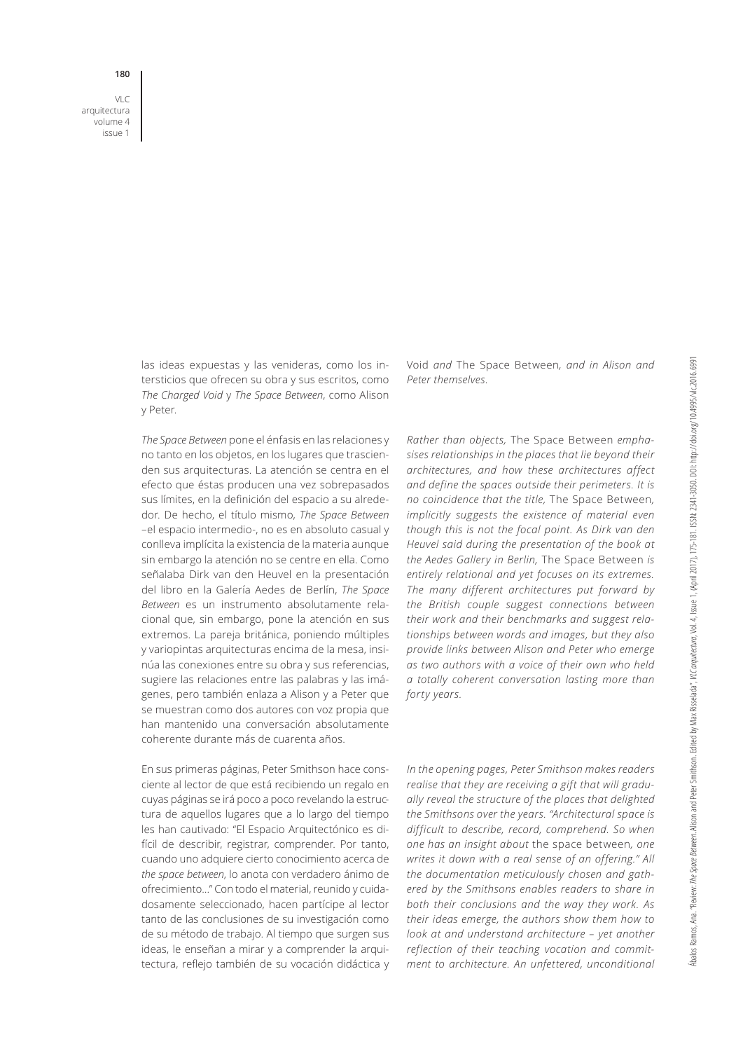**180**

VLC arquitectura volume 4 issue 1

> las ideas expuestas y las venideras, como los intersticios que ofrecen su obra y sus escritos, como *The Charged Void* y *The Space Between*, como Alison y Peter.

> *The Space Between* pone el énfasis en las relaciones y no tanto en los objetos, en los lugares que trascienden sus arquitecturas. La atención se centra en el efecto que éstas producen una vez sobrepasados sus límites, en la definición del espacio a su alrededor. De hecho, el título mismo, *The Space Between* –el espacio intermedio-, no es en absoluto casual y conlleva implícita la existencia de la materia aunque sin embargo la atención no se centre en ella. Como señalaba Dirk van den Heuvel en la presentación del libro en la Galería Aedes de Berlín, *The Space Between* es un instrumento absolutamente relacional que, sin embargo, pone la atención en sus extremos. La pareja británica, poniendo múltiples y variopintas arquitecturas encima de la mesa, insinúa las conexiones entre su obra y sus referencias, sugiere las relaciones entre las palabras y las imágenes, pero también enlaza a Alison y a Peter que se muestran como dos autores con voz propia que han mantenido una conversación absolutamente coherente durante más de cuarenta años.

> En sus primeras páginas, Peter Smithson hace consciente al lector de que está recibiendo un regalo en cuyas páginas se irá poco a poco revelando la estructura de aquellos lugares que a lo largo del tiempo les han cautivado: "El Espacio Arquitectónico es difícil de describir, registrar, comprender. Por tanto, cuando uno adquiere cierto conocimiento acerca de *the space between*, lo anota con verdadero ánimo de ofrecimiento…" Con todo el material, reunido y cuidadosamente seleccionado, hacen partícipe al lector tanto de las conclusiones de su investigación como de su método de trabajo. Al tiempo que surgen sus ideas, le enseñan a mirar y a comprender la arquitectura, reflejo también de su vocación didáctica y

Void *and* The Space Between*, and in Alison and Peter themselves.* 

*Rather than objects,* The Space Between *emphasises relationships in the places that lie beyond their architectures, and how these architectures affect and define the spaces outside their perimeters. It is no coincidence that the title,* The Space Between*, implicitly suggests the existence of material even though this is not the focal point. As Dirk van den Heuvel said during the presentation of the book at the Aedes Gallery in Berlin,* The Space Between *is entirely relational and yet focuses on its extremes. The many different architectures put forward by the British couple suggest connections between their work and their benchmarks and suggest relationships between words and images, but they also provide links between Alison and Peter who emerge as two authors with a voice of their own who held a totally coherent conversation lasting more than forty years.*

*In the opening pages, Peter Smithson makes readers realise that they are receiving a gift that will gradually reveal the structure of the places that delighted the Smithsons over the years. "Architectural space is difficult to describe, record, comprehend. So when one has an insight about* the space between*, one writes it down with a real sense of an offering." All the documentation meticulously chosen and gathered by the Smithsons enables readers to share in both their conclusions and the way they work. As their ideas emerge, the authors show them how to look at and understand architecture – yet another reflection of their teaching vocation and commitment to architecture. An unfettered, unconditional*